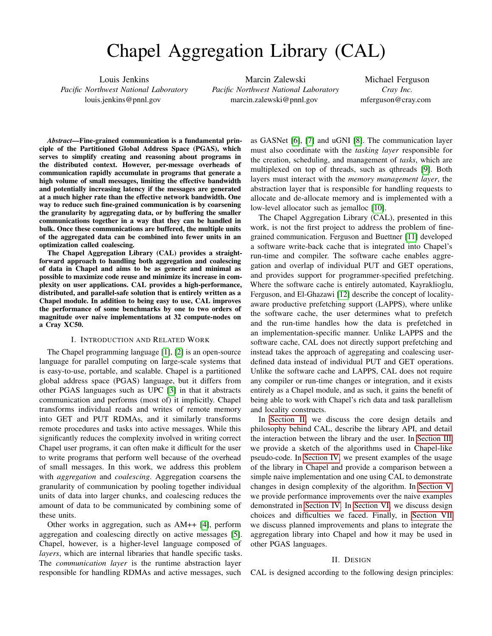# Chapel Aggregation Library (CAL)

Louis Jenkins *Pacific Northwest National Laboratory* louis.jenkins@pnnl.gov

Marcin Zalewski *Pacific Northwest National Laboratory* marcin.zalewski@pnnl.gov

Michael Ferguson *Cray Inc.* mferguson@cray.com

*Abstract*—Fine-grained communication is a fundamental principle of the Partitioned Global Address Space (PGAS), which serves to simplify creating and reasoning about programs in the distributed context. However, per-message overheads of communication rapidly accumulate in programs that generate a high volume of small messages, limiting the effective bandwidth and potentially increasing latency if the messages are generated at a much higher rate than the effective network bandwidth. One way to reduce such fine-grained communication is by coarsening the granularity by aggregating data, or by buffering the smaller communications together in a way that they can be handled in bulk. Once these communications are buffered, the multiple units of the aggregated data can be combined into fewer units in an optimization called coalescing.

The Chapel Aggregation Library (CAL) provides a straightforward approach to handling both aggregation and coalescing of data in Chapel and aims to be as generic and minimal as possible to maximize code reuse and minimize its increase in complexity on user applications. CAL provides a high-performance, distributed, and parallel-safe solution that is entirely written as a Chapel module. In addition to being easy to use, CAL improves the performance of some benchmarks by one to two orders of magnitude over naive implementations at 32 compute-nodes on a Cray XC50.

## I. INTRODUCTION AND RELATED WORK

The Chapel programming language [\[1\]](#page-8-0), [\[2\]](#page-8-1) is an open-source language for parallel computing on large-scale systems that is easy-to-use, portable, and scalable. Chapel is a partitioned global address space (PGAS) language, but it differs from other PGAS languages such as UPC [\[3\]](#page-8-2) in that it abstracts communication and performs (most of) it implicitly. Chapel transforms individual reads and writes of remote memory into GET and PUT RDMAs, and it similarly transforms remote procedures and tasks into active messages. While this significantly reduces the complexity involved in writing correct Chapel user programs, it can often make it difficult for the user to write programs that perform well because of the overhead of small messages. In this work, we address this problem with *aggregation* and *coalescing*. Aggregation coarsens the granularity of communication by pooling together individual units of data into larger chunks, and coalescing reduces the amount of data to be communicated by combining some of these units.

Other works in aggregation, such as AM++ [\[4\]](#page-8-3), perform aggregation and coalescing directly on active messages [\[5\]](#page-8-4). Chapel, however, is a higher-level language composed of *layers*, which are internal libraries that handle specific tasks. The *communication layer* is the runtime abstraction layer responsible for handling RDMAs and active messages, such

as GASNet [\[6\]](#page-8-5), [\[7\]](#page-8-6) and uGNI [\[8\]](#page-8-7). The communication layer must also coordinate with the *tasking layer* responsible for the creation, scheduling, and management of *tasks*, which are multiplexed on top of threads, such as qthreads [\[9\]](#page-8-8). Both layers must interact with the *memory management layer*, the abstraction layer that is responsible for handling requests to allocate and de-allocate memory and is implemented with a low-level allocator such as jemalloc [\[10\]](#page-8-9).

The Chapel Aggregation Library (CAL), presented in this work, is not the first project to address the problem of finegrained communication. Ferguson and Buettner [\[11\]](#page-8-10) developed a software write-back cache that is integrated into Chapel's run-time and compiler. The software cache enables aggregation and overlap of individual PUT and GET operations, and provides support for programmer-specified prefetching. Where the software cache is entirely automated, Kayraklioglu, Ferguson, and El-Ghazawi [\[12\]](#page-8-11) describe the concept of localityaware productive prefetching support (LAPPS), where unlike the software cache, the user determines what to prefetch and the run-time handles how the data is prefetched in an implementation-specific manner. Unlike LAPPS and the software cache, CAL does not directly support prefetching and instead takes the approach of aggregating and coalescing userdefined data instead of individual PUT and GET operations. Unlike the software cache and LAPPS, CAL does not require any compiler or run-time changes or integration, and it exists entirely as a Chapel module, and as such, it gains the benefit of being able to work with Chapel's rich data and task parallelism and locality constructs.

In [Section II,](#page-0-0) we discuss the core design details and philosophy behind CAL, describe the library API, and detail the interaction between the library and the user. In [Section III,](#page-2-0) we provide a sketch of the algorithms used in Chapel-like pseudo-code. In [Section IV,](#page-3-0) we present examples of the usage of the library in Chapel and provide a comparison between a simple naive implementation and one using CAL to demonstrate changes in design complexity of the algorithm. In [Section V,](#page-6-0) we provide performance improvements over the naive examples demonstrated in [Section IV.](#page-3-0) In [Section VI,](#page-7-0) we discuss design choices and difficulties we faced. Finally, in [Section VII](#page-8-12) we discuss planned improvements and plans to integrate the aggregation library into Chapel and how it may be used in other PGAS languages.

## II. DESIGN

<span id="page-0-0"></span>CAL is designed according to the following design principles: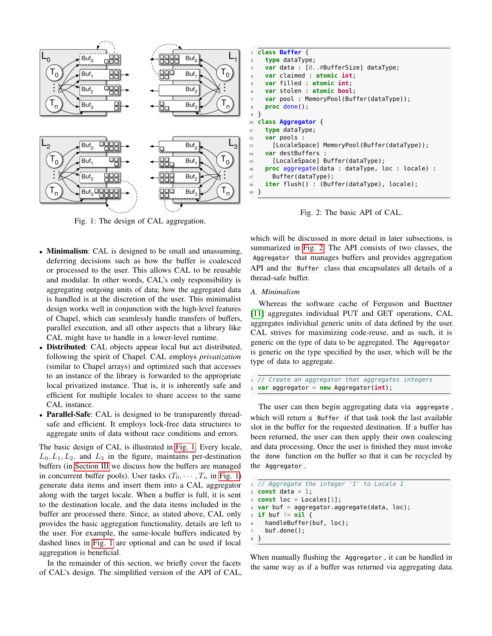<span id="page-1-0"></span>

Fig. 1: The design of CAL aggregation.

- Minimalism: CAL is designed to be small and unassuming, deferring decisions such as how the buffer is coalesced or processed to the user. This allows CAL to be reusable and modular. In other words, CAL's only responsibility is aggregating outgoing units of data; how the aggregated data is handled is at the discretion of the user. This minimalist design works well in conjunction with the high-level features of Chapel, which can seamlessly handle transfers of buffers, parallel execution, and all other aspects that a library like CAL might have to handle in a lower-level runtime.
- **Distributed:** CAL objects appear local but act distributed, following the spirit of Chapel. CAL employs *privatization* (similar to Chapel arrays) and optimized such that accesses to an instance of the library is forwarded to the appropriate local privatized instance. That is, it is inherently safe and efficient for multiple locales to share access to the same CAL instance.
- Parallel-Safe: CAL is designed to be transparently threadsafe and efficient. It employs lock-free data structures to aggregate units of data without race conditions and errors.

The basic design of CAL is illustrated in [Fig. 1.](#page-1-0) Every locale,  $L_0, L_1, L_2$ , and  $L_3$  in the figure, maintains per-destination buffers (in [Section III](#page-2-0) we discuss how the buffers are managed in concurrent buffer pools). User tasks  $(T_0, \dots, T_n$  in [Fig. 1\)](#page-1-0) generate data items and insert them into a CAL aggregator along with the target locale. When a buffer is full, it is sent to the destination locale, and the data items included in the buffer are processed there. Since, as stated above, CAL only provides the basic aggregation functionality, details are left to the user. For example, the same-locale buffers indicated by dashed lines in [Fig. 1](#page-1-0) are optional and can be used if local aggregation is beneficial.

In the remainder of this section, we briefly cover the facets of CAL's design. The simplified version of the API of CAL,

```
1 class Buffer {
2 type dataType;
    3 var data : [0..#BufferSize] dataType;
    4 var claimed : atomic int;
    5 var filled : atomic int;
    6 var stolen : atomic bool;
    var pool : MemoryPool(Buffer(dataType));
    8 proc done();
9 }
10 class Aggregator {
11 type dataType;
12 var pools :
13 [LocaleSpace] MemoryPool(Buffer(dataType));
14 var destBuffers :
15 [LocaleSpace] Buffer(dataType);
16 proc aggregate(data : dataType, loc : locale) :
17 Buffer(dataType);
18 iter flush() : (Buffer(dataType), locale);
19 }
```
Fig. 2: The basic API of CAL.

which will be discussed in more detail in later subsections, is summarized in [Fig. 2.](#page-1-1) The API consists of two classes, the Aggregator that manages buffers and provides aggregation API and the Buffer class that encapsulates all details of a thread-safe buffer.

## <span id="page-1-2"></span>*A. Minimalism*

Whereas the software cache of Ferguson and Buettner [\[11\]](#page-8-10) aggregates individual PUT and GET operations, CAL aggregates individual generic units of data defined by the user. CAL strives for maximizing code-reuse, and as such, it is generic on the type of data to be aggregated. The Aggregator is generic on the type specified by the user, which will be the type of data to aggregate.

```
1 // Create an aggregator that aggregates integers
2 var aggregator = new Aggregator(int);
```
The user can then begin aggregating data via aggregate , which will return a Buffer if that task took the last available slot in the buffer for the requested destination. If a buffer has been returned, the user can then apply their own coalescing and data processing. Once the user is finished they must invoke the done function on the buffer so that it can be recycled by the Aggregator .

```
1 // Aggregate the integer '1' to Locale 1
2 const data = 1;
 const loc = Locales[1];
4 var buf = aggregator.aggregate(data, loc);
5 if buf != nil {
6 handleBuffer(buf, loc);
    buf.done();
8 }
```
When manually flushing the Aggregator , it can be handled in the same way as if a buffer was returned via aggregating data.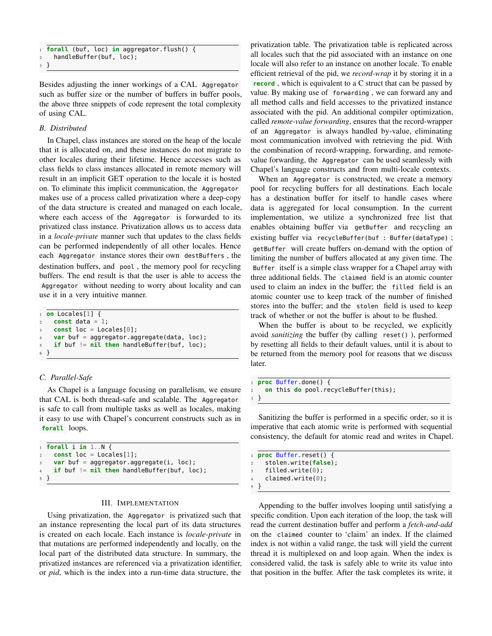```
1 forall (buf, loc) in aggregator.flush() {
    handleBuffer(buf, loc);
3 }
```
Besides adjusting the inner workings of a CAL Aggregator such as buffer size or the number of buffers in buffer pools, the above three snippets of code represent the total complexity of using CAL.

# *B. Distributed*

In Chapel, class instances are stored on the heap of the locale that it is allocated on, and these instances do not migrate to other locales during their lifetime. Hence accesses such as class fields to class instances allocated in remote memory will result in an implicit GET operation to the locale it is hosted on. To eliminate this implicit communication, the Aggregator makes use of a process called privatization where a deep-copy of the data structure is created and managed on each locale, where each access of the Aggregator is forwarded to its privatized class instance. Privatization allows us to access data in a *locale-private* manner such that updates to the class fields can be performed independently of all other locales. Hence each Aggregator instance stores their own destBuffers , the destination buffers, and pool , the memory pool for recycling buffers. The end result is that the user is able to access the Aggregator without needing to worry about locality and can use it in a very intuitive manner.

```
1 on Locales[1] {
    const data = 1;
    const loc = Locales[0];
    var buf = aggregator.aggregate(data, loc);
    if buf != nil then handleBuffer(buf, loc);
 6 }
```
## *C. Parallel-Safe*

As Chapel is a language focusing on parallelism, we ensure that CAL is both thread-safe and scalable. The Aggregator is safe to call from multiple tasks as well as locales, making it easy to use with Chapel's concurrent constructs such as in **forall** loops.

```
1 forall i in 1..N {
    const loc = Locales[1];
   var buf = aggregator.aggregate(i, loc);
    4 if buf != nil then handleBuffer(buf, loc);
5 }
```
# III. IMPLEMENTATION

<span id="page-2-0"></span>Using privatization, the Aggregator is privatized such that an instance representing the local part of its data structures is created on each locale. Each instance is *locale-private* in that mutations are performed independently and locally, on the local part of the distributed data structure. In summary, the privatized instances are referenced via a privatization identifier, or *pid*, which is the index into a run-time data structure, the

privatization table. The privatization table is replicated across all locales such that the pid associated with an instance on one locale will also refer to an instance on another locale. To enable efficient retrieval of the pid, we *record-wrap* it by storing it in a **record** , which is equivalent to a C struct that can be passed by value. By making use of forwarding , we can forward any and all method calls and field accesses to the privatized instance associated with the pid. An additional compiler optimization, called *remote-value forwarding*, ensures that the record-wrapper of an Aggregator is always handled by-value, eliminating most communication involved with retrieving the pid. With the combination of record-wrapping, forwarding, and remotevalue forwarding, the Aggregator can be used seamlessly with Chapel's language constructs and from multi-locale contexts.

When an Aggregator is constructed, we create a memory pool for recycling buffers for all destinations. Each locale has a destination buffer for itself to handle cases where data is aggregated for local consumption. In the current implementation, we utilize a synchronized free list that enables obtaining buffer via getBuffer and recycling an existing buffer via recycleBuffer(buf : Buffer(dataType) ; getBuffer will create buffers on-demand with the option of limiting the number of buffers allocated at any given time. The Buffer itself is a simple class wrapper for a Chapel array with three additional fields. The claimed field is an atomic counter used to claim an index in the buffer; the filled field is an atomic counter use to keep track of the number of finished stores into the buffer; and the stolen field is used to keep track of whether or not the buffer is about to be flushed.

When the buffer is about to be recycled, we explicitly avoid *sanitizing* the buffer (by calling reset() ), performed by resetting all fields to their default values, until it is about to be returned from the memory pool for reasons that we discuss later.

```
1 proc Buffer.done() {
2 on this do pool.recycleBuffer(this);
 3 }
```
Sanitizing the buffer is performed in a specific order, so it is imperative that each atomic write is performed with sequential consistency, the default for atomic read and writes in Chapel.

```
1 proc Buffer.reset() {
    2 stolen.write(false);
    filled.write(0);
    claimed.write(0);
5 }
```
Appending to the buffer involves looping until satisfying a specific condition. Upon each iteration of the loop, the task will read the current destination buffer and perform a *fetch-and-add* on the claimed counter to 'claim' an index. If the claimed index is not within a valid range, the task will yield the current thread it is multiplexed on and loop again. When the index is considered valid, the task is safely able to write its value into that position in the buffer. After the task completes its write, it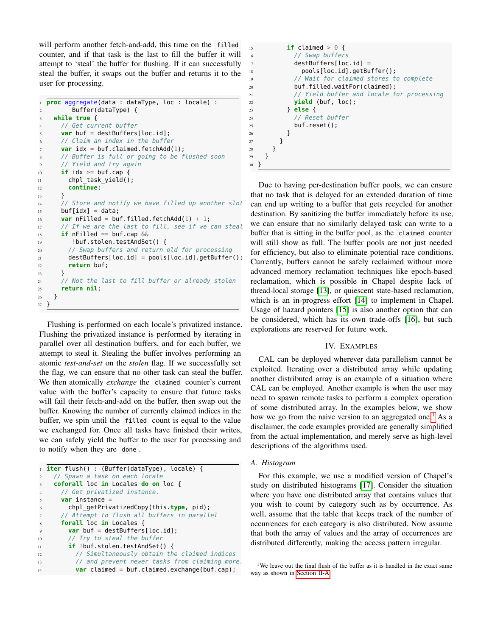will perform another fetch-and-add, this time on the filled counter, and if that task is the last to fill the buffer it will attempt to 'steal' the buffer for flushing. If it can successfully steal the buffer, it swaps out the buffer and returns it to the user for processing.

```
1 proc aggregate(data : dataType, loc : locale) :
2 Buffer(dataType) {
   3 while true {
     4 // Get current buffer
     var buf = destBuffers[loc.id];
     // Claim an index in the buffer
7 var idx = buf.claimed.fetchAdd(1);
8 // Buffer is full or going to be flushed soon
9 // Yield and try again
10 if idx >= buf.cap {
11 chpl task yield();
12 continue;
13 }
14 // Store and notify we have filled up another slot
15 buf[idx] = data;
var nFilled = buf.filled.fetchAdd(1) + 1;
17 // If we are the last to fill, see if we can steal
18 if nFilled == buf.cap &&
19 !buf.stolen.testAndSet() {
20 // Swap buffers and return old for processing
21 destBuffers[loc.id] = pools[loc.id].getBuffer();
22 return buf;
23 }
24 // Not the last to fill buffer or already stolen
25 return nil;
26 }
27 }
```
Flushing is performed on each locale's privatized instance. Flushing the privatized instance is performed by iterating in parallel over all destination buffers, and for each buffer, we attempt to steal it. Stealing the buffer involves performing an atomic *test-and-set* on the *stolen* flag. If we successfully set the flag, we can ensure that no other task can steal the buffer. We then atomically *exchange* the claimed counter's current value with the buffer's capacity to ensure that future tasks will fail their fetch-and-add on the buffer, then swap out the buffer. Knowing the number of currently claimed indices in the buffer, we spin until the filled count is equal to the value we exchanged for. Once all tasks have finished their writes, we can safely yield the buffer to the user for processing and to notify when they are done .

```
1 iter flush() : (Buffer(dataType), locale) {
    // Spawn a task on each locale
    3 coforall loc in Locales do on loc {
     // Get privatized instance.
     5 var instance =
6 chpl_getPrivatizedCopy(this.type, pid);
      7 // Attempt to flush all buffers in parallel
     8 forall loc in Locales {
9 var buf = destBuffers[loc.id];
10 // Try to steal the buffer
11 if !buf.stolen.testAndSet() {
12 // Simultaneously obtain the claimed indices
13 // and prevent newer tasks from claiming more.
14 var claimed = buf.claimed.exchange(buf.cap);
```

```
15 if claimed > 0 {
16 // Swap buffers
17 destBuffers[loc.id] =
18 pools[loc.id].getBuffer();
19 // Wait for claimed stores to complete
20 buf.filled.waitFor(claimed);
21 // Yield buffer and locale for processing
22 yield (buf, loc);
23 } else {
24 // Reset buffer
25 buf.reset();
26 }
27 }
28 }
29 }
30 }
```
Due to having per-destination buffer pools, we can ensure that no task that is delayed for an extended duration of time can end up writing to a buffer that gets recycled for another destination. By sanitizing the buffer immediately before its use, we can ensure that no similarly delayed task can write to a buffer that is sitting in the buffer pool, as the claimed counter will still show as full. The buffer pools are not just needed for efficiency, but also to eliminate potential race conditions. Currently, buffers cannot be safely reclaimed without more advanced memory reclamation techniques like epoch-based reclamation, which is possible in Chapel despite lack of thread-local storage [\[13\]](#page-8-13), or quiescent state-based reclamation, which is an in-progress effort [\[14\]](#page-8-14) to implement in Chapel. Usage of hazard pointers [\[15\]](#page-8-15) is also another option that can be considered, which has its own trade-offs [\[16\]](#page-8-16), but such explorations are reserved for future work.

# IV. EXAMPLES

<span id="page-3-0"></span>CAL can be deployed wherever data parallelism cannot be exploited. Iterating over a distributed array while updating another distributed array is an example of a situation where CAL can be employed. Another example is when the user may need to spawn remote tasks to perform a complex operation of some distributed array. In the examples below, we show how we go from the naive version to an aggregated one.<sup>[1](#page-3-1)</sup> As a disclaimer, the code examples provided are generally simplified from the actual implementation, and merely serve as high-level descriptions of the algorithms used.

# <span id="page-3-2"></span>*A. Histogram*

For this example, we use a modified version of Chapel's study on distributed histograms [\[17\]](#page-8-17). Consider the situation where you have one distributed array that contains values that you wish to count by category such as by occurrence. As well, assume that the table that keeps track of the number of occurrences for each category is also distributed. Now assume that both the array of values and the array of occurrences are distributed differently, making the access pattern irregular.

<span id="page-3-1"></span><sup>&</sup>lt;sup>1</sup>We leave out the final flush of the buffer as it is handled in the exact same way as shown in [Section II-A](#page-1-2)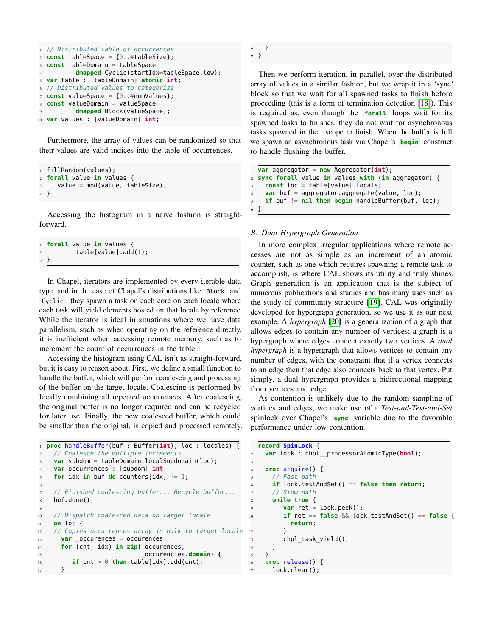```
// Distributed table of occurrences
  const tableSpace = {0..#tableSize};
3 const tableDomain = tableSpace
          dmapped Cyclic(startIdx=tableSpace.low);
5 var table : [tableDomain] atomic int;
  6 // Distributed values to categorize
  const valueSpace = {0..#numValues};
8 const valueDomain = valueSpace
          dmapped Block(valueSpace);
10 var values : [valueDomain] int;
```
Furthermore, the array of values can be randomized so that their values are valid indices into the table of occurrences.

```
1 fillRandom(values);
2 forall value in values {
     value = mod(value, tableSize);
\overline{4}
```
Accessing the histogram in a naive fashion is straightforward.

```
1 forall value in values {
          table[value].add(1);
3 }
```
In Chapel, iterators are implemented by every iterable data type, and in the case of Chapel's distributions like Block and Cyclic , they spawn a task on each core on each locale where each task will yield elements hosted on that locale by reference. While the iterator is ideal in situations where we have data parallelism, such as when operating on the reference directly, it is inefficient when accessing remote memory, such as to increment the count of occurrences in the table.

Accessing the histogram using CAL isn't as straight-forward, but it is easy to reason about. First, we define a small function to handle the buffer, which will perform coalescing and processing of the buffer on the target locale. Coalescing is performed by locally combining all repeated occurrences. After coalescing, the original buffer is no longer required and can be recycled for later use. Finally, the new coalesced buffer, which could be smaller than the original, is copied and processed remotely.

```
1 proc handleBuffer(buf : Buffer(int), loc : locales) {
    2 // Coalesce the multiple increments
    var subdom = tableDomain.localSubdomain(loc);
    4 var occurrences : [subdom] int;
    for idx in buf do counters[idx] += 1;
6
    // Finished coalescing buffer... Recycle buffer...
8 buf.done();
9
10 // Dispatch coalesced data on target locale
11 on loc {
12 // Copies occurrences array in bulk to target locale
13 var occurences = occurences;
14 for (cnt, idx) in zip(_occurences,
15 _occurencies.domain) {
16 if cnt > \theta then table[idx].add(cnt);
17 }
```
<sup>18</sup> } <sup>19</sup> }

Then we perform iteration, in parallel, over the distributed array of values in a similar fashion, but we wrap it in a 'sync' block so that we wait for all spawned tasks to finish before proceeding (this is a form of termination detection [\[18\]](#page-8-18)). This is required as, even though the **forall** loops wait for its spawned tasks to finishes, they do not wait for asynchronous tasks spawned in their scope to finish. When the buffer is full we spawn an asynchronous task via Chapel's **begin** construct to handle flushing the buffer.

```
1 var aggregator = new Aggregator(int);
2 sync forall value in values with (in aggregator) {
    3 const loc = table[value].locale;
    var buf = aggregator.aggregate(value, loc);
    if buf != nil then begin handleBuffer(buf, loc);
 6 }
```
# *B. Dual Hypergraph Generation*

In more complex irregular applications where remote accesses are not as simple as an increment of an atomic counter, such as one which requires spawning a remote task to accomplish, is where CAL shows its utility and truly shines. Graph generation is an application that is the subject of numerous publications and studies and has many uses such as the study of community structure [\[19\]](#page-8-19). CAL was originally developed for hypergraph generation, so we use it as our next example. A *hypergraph* [\[20\]](#page-8-20) is a generalization of a graph that allows edges to contain any number of vertices; a graph is a hypergraph where edges connect exactly two vertices. A *dual hypergraph* is a hypergraph that allows vertices to contain any number of edges, with the constraint that if a vertex connects to an edge then that edge also connects back to that vertex. Put simply, a dual hypergraph provides a bidirectional mapping from vertices and edge.

As contention is unlikely due to the random sampling of vertices and edges, we make use of a *Test-and-Test-and-Set* spinlock over Chapel's **sync** variable due to the favorable performance under low contention.

```
1 record SpinLock {
2 var lock : chpl__processorAtomicType(bool);
3
    4 proc acquire() {
     5 // Fast path
     6 if lock.testAndSet() == false then return;
     // Slow path
     8 while true {
        var ret = lock.peek();
10 if ret == false && lock.testAndSet() == false {
11 return;
12 }
13 chpl_task_yield();
14   }
15 }
16 proc release() {
17 lock.clear();
```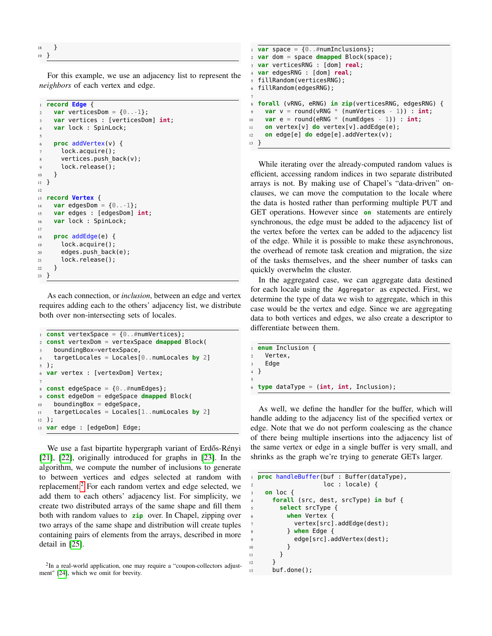<sup>18</sup> } <sup>19</sup> }

For this example, we use an adjacency list to represent the *neighbors* of each vertex and edge.

```
1 record Edge {
2 var verticesDom = \{0...1\};
    3 var vertices : [verticesDom] int;
    var lock : SpinLock;
5
    6 proc addVertex(v) {
      lock.acquire();
      vertices.push_back(v);
9 lock.release();
10 }
11 }
12
13 record Vertex {
14 var edgesDom = \{0...1\};
15 var edges : [edgesDom] int;
16 var lock : SpinLock;
17
18 proc addEdge(e) {
19 lock.acquire();
20 edges.push_back(e);
21 lock.release();
22 }
23 }
```
As each connection, or *inclusion*, between an edge and vertex requires adding each to the others' adjacency list, we distribute both over non-intersecting sets of locales.

```
1 const vertexSpace = {0..#numVertices};
2 const vertexDom = vertexSpace dmapped Block(
    boundingBox=vertexSpace,
    4 targetLocales = Locales[0..numLocales by 2]
5 );
6 var vertex : [vertexDom] Vertex;
7
s const edgeSpace = \{0..#numEdges\};
9 const edgeDom = edgeSpace dmapped Block(
10 boundingBox = edgeSpace,
11 targetLocales = Locales[1..numLocales by 2]
12 \cdot ):
13 var edge : [edgeDom] Edge;
```
We use a fast bipartite hypergraph variant of Erdős-Rényi [\[21\]](#page-8-21), [\[22\]](#page-8-22), originally introduced for graphs in [\[23\]](#page-8-23). In the algorithm, we compute the number of inclusions to generate to between vertices and edges selected at random with replacement.<sup>[2](#page-5-0)</sup> For each random vertex and edge selected, we add them to each others' adjacency list. For simplicity, we create two distributed arrays of the same shape and fill them both with random values to **zip** over. In Chapel, zipping over two arrays of the same shape and distribution will create tuples containing pairs of elements from the arrays, described in more detail in [\[25\]](#page-8-24).

```
2In a real-world application, one may require a "coupon-collectors adjust-
ment" [24], which we omit for brevity.
```

```
\mathbf{u} var space = \{0..\#numInclusions\};2 var dom = space dmapped Block(space);
3 var verticesRNG : [dom] real;
4 var edgesRNG : [dom] real;
5 fillRandom(verticesRNG);
6 fillRandom(edgesRNG);
7
8 forall (vRNG, eRNG) in zip(verticesRNG, edgesRNG) {
9 var v = round(vRNG * (numVertices - 1)) : int;
\mathbf{var} \in \mathbb{R} round(eRNG * (numEdges - 1)) : int;
11 on vertex[v] do vertex[v].addEdge(e);
12 on edge[e] do edge[e].addVertex(v);
13 }
```
While iterating over the already-computed random values is efficient, accessing random indices in two separate distributed arrays is not. By making use of Chapel's "data-driven" onclauses, we can move the computation to the locale where the data is hosted rather than performing multiple PUT and GET operations. However since **on** statements are entirely synchronous, the edge must be added to the adjacency list of the vertex before the vertex can be added to the adjacency list of the edge. While it is possible to make these asynchronous, the overhead of remote task creation and migration, the size of the tasks themselves, and the sheer number of tasks can quickly overwhelm the cluster.

In the aggregated case, we can aggregate data destined for each locale using the Aggregator as expected. First, we determine the type of data we wish to aggregate, which in this case would be the vertex and edge. Since we are aggregating data to both vertices and edges, we also create a descriptor to differentiate between them.

```
1 enum Inclusion {
2 Vertex,
    Edge
4 }
 6 type dataType = (int, int, Inclusion);
```
5

As well, we define the handler for the buffer, which will handle adding to the adjacency list of the specified vertex or edge. Note that we do not perform coalescing as the chance of there being multiple insertions into the adjacency list of the same vertex or edge in a single buffer is very small, and shrinks as the graph we're trying to generate GETs larger.

```
1 proc handleBuffer(buf : Buffer(dataType),
                    loc : locale) {
    3 on loc {
      4 forall (src, dest, srcType) in buf {
        5 select srcType {
          when Vertex {
            vertex[src].addEdge(dest);
          8 } when Edge {
            edge[src].addVertex(dest);
10 }
11   }
12 }
13 buf.done();
```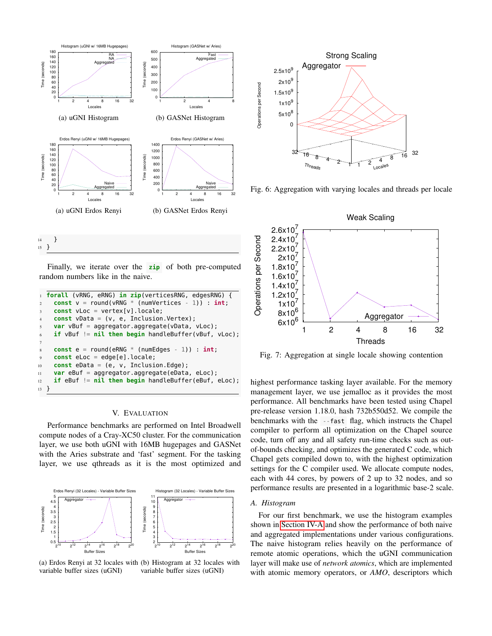<span id="page-6-2"></span><span id="page-6-1"></span>



Finally, we iterate over the **zip** of both pre-computed random numbers like in the naive.

```
1 forall (vRNG, eRNG) in zip(verticesRNG, edgesRNG) {
const v = round(vRNG * (numVertices - 1)) : int;3 const vLoc = vertex[v].locale;
    4 const vData = (v, e, Inclusion.Vertex);
    var vBuf = aggregator.aggregate(vData, vLoc);
    if vBuf != nil then begin handleBuffer(vBuf, vLoc);
7
    const e = round(eRNG * (numEdges - 1)) : int;9 const eLoc = edge[e].locale;
10 const eData = (e, v, Inclusion.Edge);
11 var eBuf = aggregator.aggregate(eData, eLoc);
12 if eBuf != nil then begin handleBuffer(eBuf, eLoc);
13 \frac{1}{2}
```
#### V. EVALUATION

<span id="page-6-0"></span>Performance benchmarks are performed on Intel Broadwell compute nodes of a Cray-XC50 cluster. For the communication layer, we use both uGNI with 16MB hugepages and GASNet with the Aries substrate and 'fast' segment. For the tasking layer, we use qthreads as it is the most optimized and

<span id="page-6-3"></span>



<span id="page-6-4"></span>

Fig. 6: Aggregation with varying locales and threads per locale

<span id="page-6-5"></span>

Fig. 7: Aggregation at single locale showing contention

highest performance tasking layer available. For the memory management layer, we use jemalloc as it provides the most performance. All benchmarks have been tested using Chapel pre-release version 1.18.0, hash 732b550d52. We compile the benchmarks with the --fast flag, which instructs the Chapel compiler to perform all optimization on the Chapel source code, turn off any and all safety run-time checks such as outof-bounds checking, and optimizes the generated C code, which Chapel gets compiled down to, with the highest optimization settings for the C compiler used. We allocate compute nodes, each with 44 cores, by powers of 2 up to 32 nodes, and so performance results are presented in a logarithmic base-2 scale.

# *A. Histogram*

For our first benchmark, we use the histogram examples shown in [Section](#page-3-2) IV-A and show the performance of both naive and aggregated implementations under various configurations. The naive histogram relies heavily on the performance of remote atomic operations, which the uGNI communication layer will make use of *network atomics*, which are implemented with atomic memory operators, or *AMO*, descriptors which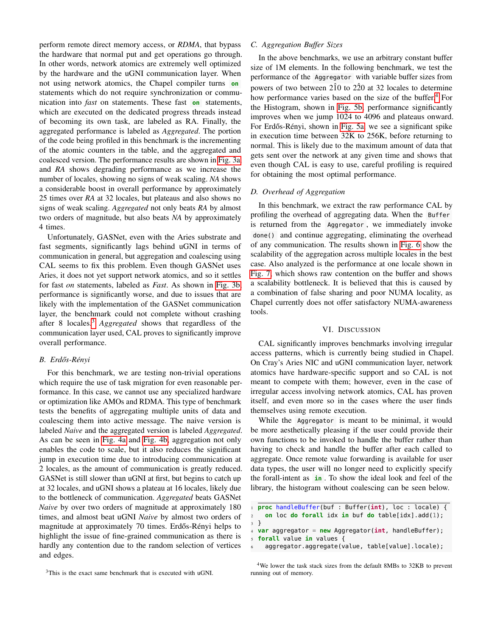perform remote direct memory access, or *RDMA*, that bypass the hardware that normal put and get operations go through. In other words, network atomics are extremely well optimized by the hardware and the uGNI communication layer. When not using network atomics, the Chapel compiler turns **on** statements which do not require synchronization or communication into *fast* on statements. These fast **on** statements, which are executed on the dedicated progress threads instead of becoming its own task, are labeled as RA. Finally, the aggregated performance is labeled as *Aggregated*. The portion of the code being profiled in this benchmark is the incrementing of the atomic counters in the table, and the aggregated and coalesced version. The performance results are shown in [Fig. 3a,](#page-6-1) and *RA* shows degrading performance as we increase the number of locales, showing no signs of weak scaling. *NA* shows a considerable boost in overall performance by approximately 25 times over *RA* at 32 locales, but plateaus and also shows no signs of weak scaling. *Aggregated* not only beats *RA* by almost two orders of magnitude, but also beats *NA* by approximately 4 times.

Unfortunately, GASNet, even with the Aries substrate and fast segments, significantly lags behind uGNI in terms of communication in general, but aggregation and coalescing using CAL seems to fix this problem. Even though GASNet uses Aries, it does not yet support network atomics, and so it settles for fast *on* statements, labeled as *Fast*. As shown in [Fig. 3b,](#page-6-1) performance is significantly worse, and due to issues that are likely with the implementation of the GASNet communication layer, the benchmark could not complete without crashing after 8 locales.[3](#page-7-1) *Aggregated* shows that regardless of the communication layer used, CAL proves to significantly improve overall performance.

## *B. Erd ˝os-Rényi*

For this benchmark, we are testing non-trivial operations which require the use of task migration for even reasonable performance. In this case, we cannot use any specialized hardware or optimization like AMOs and RDMA. This type of benchmark tests the benefits of aggregating multiple units of data and coalescing them into active message. The naive version is labeled *Naive* and the aggregated version is labeled *Aggregated*. As can be seen in [Fig. 4a](#page-6-2) and [Fig. 4b,](#page-6-2) aggregation not only enables the code to scale, but it also reduces the significant jump in execution time due to introducing communication at 2 locales, as the amount of communication is greatly reduced. GASNet is still slower than uGNI at first, but begins to catch up at 32 locales, and uGNI shows a plateau at 16 locales, likely due to the bottleneck of communication. *Aggregated* beats GASNet *Naive* by over two orders of magnitude at approximately 180 times, and almost beat uGNI *Naive* by almost two orders of magnitude at approximately 70 times. Erdős-Rényi helps to highlight the issue of fine-grained communication as there is hardly any contention due to the random selection of vertices and edges.

## *C. Aggregation Buffer Sizes*

In the above benchmarks, we use an arbitrary constant buffer size of 1M elements. In the following benchmark, we test the performance of the Aggregator with variable buffer sizes from powers of two between  $2\hat{1}0$  to  $2\hat{2}0$  at 32 locales to determine how performance varies based on the size of the buffer.<sup>[4](#page-7-2)</sup> For the Histogram, shown in [Fig. 5b,](#page-6-3) performance significantly improves when we jump 1024 to 4096 and plateaus onward. For Erdős-Rényi, shown in [Fig. 5a,](#page-6-3) we see a significant spike in execution time between 32K to 256K, before returning to normal. This is likely due to the maximum amount of data that gets sent over the network at any given time and shows that even though CAL is easy to use, careful profiling is required for obtaining the most optimal performance.

#### *D. Overhead of Aggregation*

In this benchmark, we extract the raw performance CAL by profiling the overhead of aggregating data. When the Buffer is returned from the Aggregator , we immediately invoke done() and continue aggregating, eliminating the overhead of any communication. The results shown in [Fig. 6](#page-6-4) show the scalability of the aggregation across multiple locales in the best case. Also analyzed is the performance at one locale shown in [Fig. 7,](#page-6-5) which shows raw contention on the buffer and shows a scalability bottleneck. It is believed that this is caused by a combination of false sharing and poor NUMA locality, as Chapel currently does not offer satisfactory NUMA-awareness tools.

#### VI. DISCUSSION

<span id="page-7-0"></span>CAL significantly improves benchmarks involving irregular access patterns, which is currently being studied in Chapel. On Cray's Aries NIC and uGNI communication layer, network atomics have hardware-specific support and so CAL is not meant to compete with them; however, even in the case of irregular access involving network atomics, CAL has proven itself, and even more so in the cases where the user finds themselves using remote execution.

While the Aggregator is meant to be minimal, it would be more aesthetically pleasing if the user could provide their own functions to be invoked to handle the buffer rather than having to check and handle the buffer after each called to aggregate. Once remote value forwarding is available for user data types, the user will no longer need to explicitly specify the forall-intent as **in** . To show the ideal look and feel of the library, the histogram without coalescing can be seen below.

```
1 proc handleBuffer(buf : Buffer(int), loc : locale) {
2 on loc do forall idx in buf do table[idx].add(1);
3 }
```

```
4 var aggregator = new Aggregator(int, handleBuffer);
```

```
5 forall value in values {
```

```
6 aggregator.aggregate(value, table[value].locale);
```
<span id="page-7-1"></span> $3$ This is the exact same benchmark that is executed with  $\rm uGNI$ .

<span id="page-7-2"></span><sup>&</sup>lt;sup>4</sup>We lower the task stack sizes from the default 8MBs to 32KB to prevent running out of memory.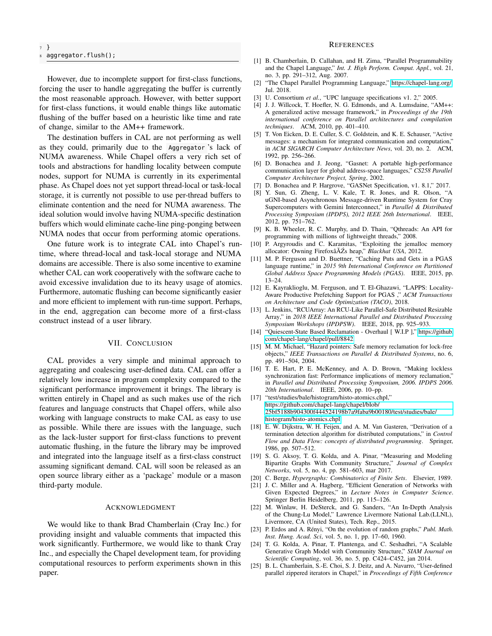<sup>7</sup> } aggregator.flush();

However, due to incomplete support for first-class functions, forcing the user to handle aggregating the buffer is currently the most reasonable approach. However, with better support for first-class functions, it would enable things like automatic flushing of the buffer based on a heuristic like time and rate of change, similar to the AM++ framework.

The destination buffers in CAL are not performing as well as they could, primarily due to the Aggregator 's lack of NUMA awareness. While Chapel offers a very rich set of tools and abstractions for handling locality between compute nodes, support for NUMA is currently in its experimental phase. As Chapel does not yet support thread-local or task-local storage, it is currently not possible to use per-thread buffers to eliminate contention and the need for NUMA awareness. The ideal solution would involve having NUMA-specific destination buffers which would eliminate cache-line ping-ponging between NUMA nodes that occur from performing atomic operations.

One future work is to integrate CAL into Chapel's runtime, where thread-local and task-local storage and NUMA domains are accessible. There is also some incentive to examine whether CAL can work cooperatively with the software cache to avoid excessive invalidation due to its heavy usage of atomics. Furthermore, automatic flushing can become significantly easier and more efficient to implement with run-time support. Perhaps, in the end, aggregation can become more of a first-class construct instead of a user library.

## VII. CONCLUSION

<span id="page-8-12"></span>CAL provides a very simple and minimal approach to aggregating and coalescing user-defined data. CAL can offer a relatively low increase in program complexity compared to the significant performance improvement it brings. The library is written entirely in Chapel and as such makes use of the rich features and language constructs that Chapel offers, while also working with language constructs to make CAL as easy to use as possible. While there are issues with the language, such as the lack-luster support for first-class functions to prevent automatic flushing, in the future the library may be improved and integrated into the language itself as a first-class construct assuming significant demand. CAL will soon be released as an open source library either as a 'package' module or a mason third-party module.

# ACKNOWLEDGMENT

We would like to thank Brad Chamberlain (Cray Inc.) for providing insight and valuable comments that impacted this work significantly. Furthermore, we would like to thank Cray Inc., and especially the Chapel development team, for providing computational resources to perform experiments shown in this paper.

#### **REFERENCES**

- <span id="page-8-0"></span>[1] B. Chamberlain, D. Callahan, and H. Zima, "Parallel Programmability and the Chapel Language," *Int. J. High Perform. Comput. Appl.*, vol. 21, no. 3, pp. 291–312, Aug. 2007.
- <span id="page-8-1"></span>[2] "The Chapel Parallel Programming Language," [https://chapel-lang.org/,](https://chapel-lang.org/) Jul. 2018.
- <span id="page-8-2"></span>[3] U. Consortium *et al.*, "UPC language specifications v1. 2," 2005.
- <span id="page-8-3"></span>[4] J. J. Willcock, T. Hoefler, N. G. Edmonds, and A. Lumsdaine, "AM++: A generalized active message framework," in *Proceedings of the 19th international conference on Parallel architectures and compilation techniques*. ACM, 2010, pp. 401–410.
- <span id="page-8-4"></span>[5] T. Von Eicken, D. E. Culler, S. C. Goldstein, and K. E. Schauser, "Active messages: a mechanism for integrated communication and computation," in *ACM SIGARCH Computer Architecture News*, vol. 20, no. 2. ACM, 1992, pp. 256–266.
- <span id="page-8-5"></span>[6] D. Bonachea and J. Jeong, "Gasnet: A portable high-performance communication layer for global address-space languages," *CS258 Parallel Computer Architecture Project, Spring*, 2002.
- <span id="page-8-6"></span>[7] D. Bonachea and P. Hargrove, "GASNet Specification, v1. 8.1," 2017.
- <span id="page-8-7"></span>[8] Y. Sun, G. Zheng, L. V. Kale, T. R. Jones, and R. Olson, "A uGNI-based Asynchronous Message-driven Runtime System for Cray Supercomputers with Gemini Interconnect," in *Parallel & Distributed Processing Symposium (IPDPS), 2012 IEEE 26th International*. IEEE, 2012, pp. 751–762.
- <span id="page-8-8"></span>[9] K. B. Wheeler, R. C. Murphy, and D. Thain, "Qthreads: An API for programming with millions of lightweight threads," 2008.
- <span id="page-8-9"></span>[10] P. Argyroudis and C. Karamitas, "Exploiting the jemalloc memory allocator: Owning Firefoxâ $\overline{A}Z$ s heap," *Blackhat USA*, 2012.
- <span id="page-8-10"></span>[11] M. P. Ferguson and D. Buettner, "Caching Puts and Gets in a PGAS language runtime," in *2015 9th International Conference on Partitioned Global Address Space Programming Models (PGAS)*. IEEE, 2015, pp. 13–24.
- <span id="page-8-11"></span>[12] E. Kayraklioglu, M. Ferguson, and T. El-Ghazawi, "LAPPS: Locality-Aware Productive Prefetching Support for PGAS ," *ACM Transactions on Architecture and Code Optimization (TACO)*, 2018.
- <span id="page-8-13"></span>[13] L. Jenkins, "RCUArray: An RCU-Like Parallel-Safe Distributed Resizable Array," in *2018 IEEE International Parallel and Distributed Processing Symposium Workshops (IPDPSW)*. IEEE, 2018, pp. 925–933.
- <span id="page-8-14"></span>[14] "Quiescent-State Based Reclamation - Overhaul [ W.I.P ]," [https://github.](https://github.com/chapel-lang/chapel/pull/8842) [com/chapel-lang/chapel/pull/8842.](https://github.com/chapel-lang/chapel/pull/8842)
- <span id="page-8-15"></span>[15] M. M. Michael, "Hazard pointers: Safe memory reclamation for lock-free objects," *IEEE Transactions on Parallel & Distributed Systems*, no. 6, pp. 491–504, 2004.
- <span id="page-8-16"></span>[16] T. E. Hart, P. E. McKenney, and A. D. Brown, "Making lockless synchronization fast: Performance implications of memory reclamation," in *Parallel and Distributed Processing Symposium, 2006. IPDPS 2006. 20th International*. IEEE, 2006, pp. 10–pp.
- <span id="page-8-17"></span>[17] "test/studies/bale/histogram/histo-atomics.chpl," [https://github.com/chapel-lang/chapel/blob/](https://github.com/chapel-lang/chapel/blob/25bf5188b904300f444524198b7a9faba9b00180/test/studies/bale/histogram/histo-atomics.chpl) [25bf5188b904300f444524198b7a9faba9b00180/test/studies/bale/](https://github.com/chapel-lang/chapel/blob/25bf5188b904300f444524198b7a9faba9b00180/test/studies/bale/histogram/histo-atomics.chpl) [histogram/histo-atomics.chpl.](https://github.com/chapel-lang/chapel/blob/25bf5188b904300f444524198b7a9faba9b00180/test/studies/bale/histogram/histo-atomics.chpl)
- <span id="page-8-18"></span>[18] E. W. Dijkstra, W. H. Feijen, and A. M. Van Gasteren, "Derivation of a termination detection algorithm for distributed computations," in *Control Flow and Data Flow: concepts of distributed programming*. Springer, 1986, pp. 507–512.
- <span id="page-8-19"></span>[19] S. G. Aksoy, T. G. Kolda, and A. Pinar, "Measuring and Modeling Bipartite Graphs With Community Structure," *Journal of Complex Networks*, vol. 5, no. 4, pp. 581–603, mar 2017.
- <span id="page-8-20"></span>[20] C. Berge, *Hypergraphs: Combinatorics of Finite Sets*. Elsevier, 1989.
- <span id="page-8-21"></span>[21] J. C. Miller and A. Hagberg, "Efficient Generation of Networks with Given Expected Degrees," in *Lecture Notes in Computer Science*. Springer Berlin Heidelberg, 2011, pp. 115–126.
- <span id="page-8-22"></span>[22] M. Winlaw, H. DeSterck, and G. Sanders, "An In-Depth Analysis of the Chung-Lu Model," Lawrence Livermore National Lab.(LLNL), Livermore, CA (United States), Tech. Rep., 2015.
- <span id="page-8-23"></span>[23] P. Erdos and A. Rényi, "On the evolution of random graphs," *Publ. Math. Inst. Hung. Acad. Sci*, vol. 5, no. 1, pp. 17–60, 1960.
- <span id="page-8-25"></span>[24] T. G. Kolda, A. Pinar, T. Plantenga, and C. Seshadhri, "A Scalable Generative Graph Model with Community Structure," *SIAM Journal on Scientific Computing*, vol. 36, no. 5, pp. C424–C452, jan 2014.
- <span id="page-8-24"></span>[25] B. L. Chamberlain, S.-E. Choi, S. J. Deitz, and A. Navarro, "User-defined parallel zippered iterators in Chapel," in *Proceedings of Fifth Conference*